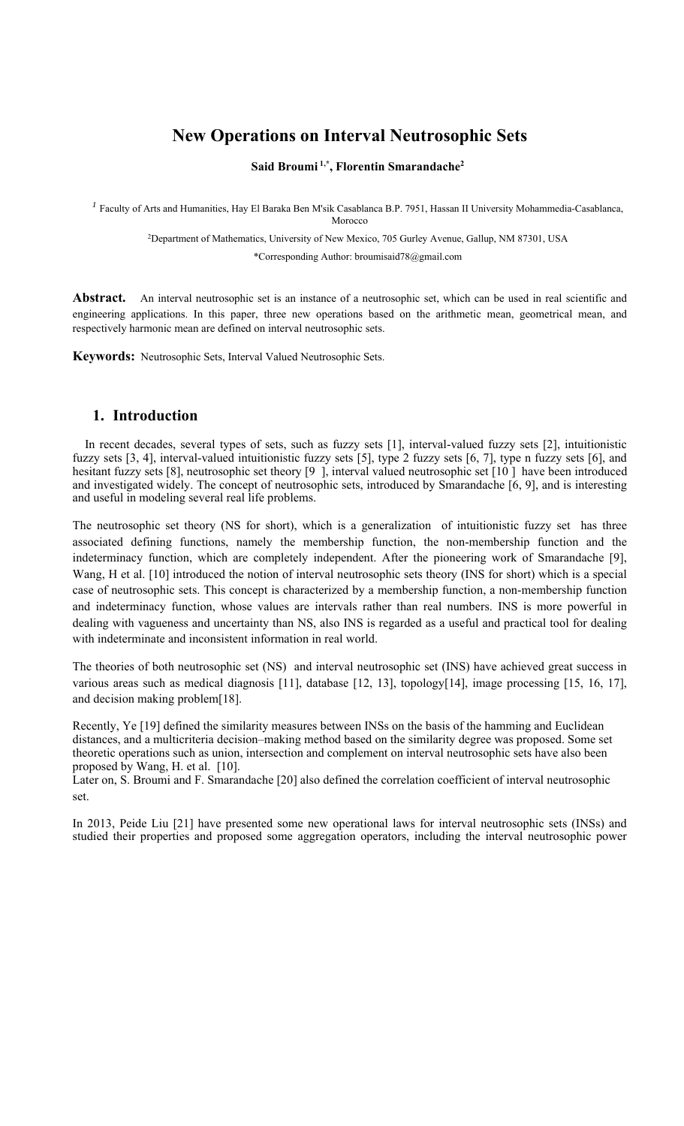# **New Operations on Interval Neutrosophic Sets**

#### **Said Broumi 1,\*, Florentin Smarandache2**

*<sup>1</sup>* Faculty of Arts and Humanities, Hay El Baraka Ben M'sik Casablanca B.P. 7951, Hassan II University Mohammedia-Casablanca,

Morocco

2Department of Mathematics, University of New Mexico, 705 Gurley Avenue, Gallup, NM 87301, USA

\*Corresponding Author: broumisaid78@gmail.com

**Abstract.** An interval neutrosophic set is an instance of a neutrosophic set, which can be used in real scientific and engineering applications. In this paper, three new operations based on the arithmetic mean, geometrical mean, and respectively harmonic mean are defined on interval neutrosophic sets.

**Keywords:** Neutrosophic Sets, Interval Valued Neutrosophic Sets.

#### **1. Introduction**

In recent decades, several types of sets, such as fuzzy sets [1], interval-valued fuzzy sets [2], intuitionistic fuzzy sets [3, 4], interval-valued intuitionistic fuzzy sets [5], type 2 fuzzy sets [6, 7], type n fuzzy sets [6], and hesitant fuzzy sets [8], neutrosophic set theory [9], interval valued neutrosophic set [10] have been introduced and investigated widely. The concept of neutrosophic sets, introduced by Smarandache [6, 9], and is interesting and useful in modeling several real life problems.

The neutrosophic set theory (NS for short), which is a generalization of intuitionistic fuzzy set has three associated defining functions, namely the membership function, the non-membership function and the indeterminacy function, which are completely independent. After the pioneering work of Smarandache [9], Wang, H et al. [10] introduced the notion of interval neutrosophic sets theory (INS for short) which is a special case of neutrosophic sets. This concept is characterized by a membership function, a non-membership function and indeterminacy function, whose values are intervals rather than real numbers. INS is more powerful in dealing with vagueness and uncertainty than NS, also INS is regarded as a useful and practical tool for dealing with indeterminate and inconsistent information in real world.

The theories of both neutrosophic set (NS) and interval neutrosophic set (INS) have achieved great success in various areas such as medical diagnosis [11], database [12, 13], topology[14], image processing [15, 16, 17], and decision making problem[18].

Recently, Ye [19] defined the similarity measures between INSs on the basis of the hamming and Euclidean distances, and a multicriteria decision–making method based on the similarity degree was proposed. Some set theoretic operations such as union, intersection and complement on interval neutrosophic sets have also been proposed by Wang, H. et al. [10].

Later on, S. Broumi and F. Smarandache [20] also defined the correlation coefficient of interval neutrosophic set.

In 2013, Peide Liu [21] have presented some new operational laws for interval neutrosophic sets (INSs) and studied their properties and proposed some aggregation operators, including the interval neutrosophic power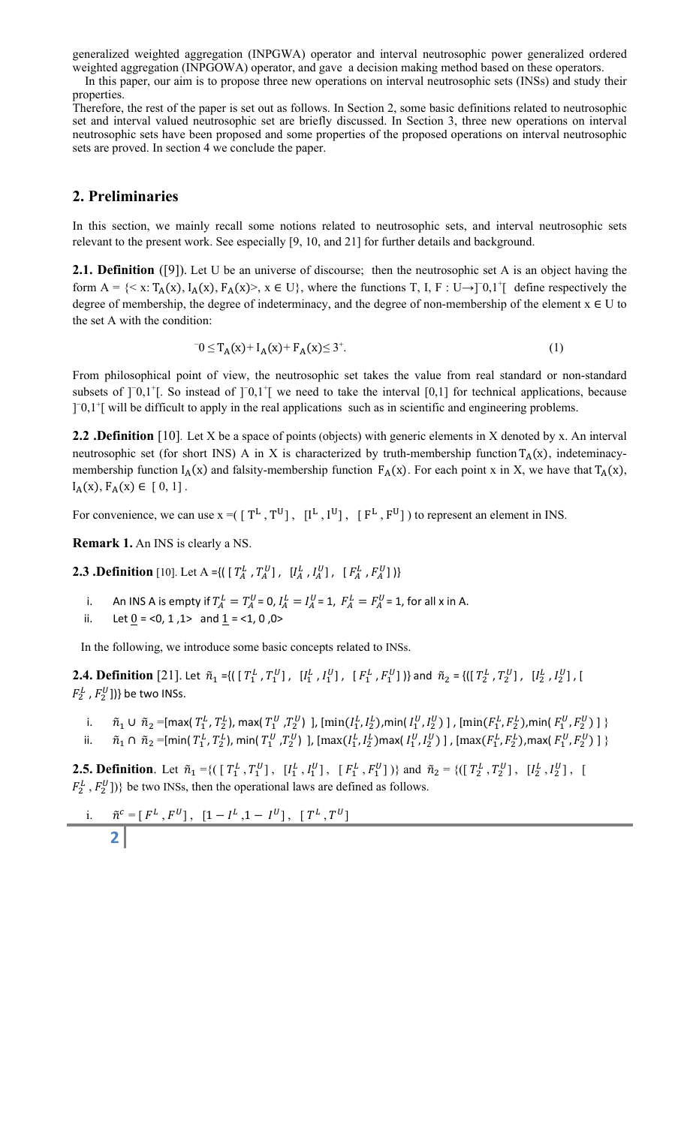generalized weighted aggregation (INPGWA) operator and interval neutrosophic power generalized ordered weighted aggregation (INPGOWA) operator, and gave a decision making method based on these operators.

In this paper, our aim is to propose three new operations on interval neutrosophic sets (INSs) and study their properties.

Therefore, the rest of the paper is set out as follows. In Section 2, some basic definitions related to neutrosophic set and interval valued neutrosophic set are briefly discussed. In Section 3, three new operations on interval neutrosophic sets have been proposed and some properties of the proposed operations on interval neutrosophic sets are proved. In section 4 we conclude the paper.

## **2. Preliminaries**

In this section, we mainly recall some notions related to neutrosophic sets, and interval neutrosophic sets relevant to the present work. See especially [9, 10, and 21] for further details and background.

**2.1. Definition** ([9]). Let U be an universe of discourse; then the neutrosophic set A is an object having the form  $A = \{ \langle x : T_A(x), I_A(x), F_A(x) \rangle, x \in U \}$ , where the functions T, I, F: U→]<sup>-0</sup>,1<sup>+</sup>[ define respectively the degree of membership, the degree of indeterminacy, and the degree of non-membership of the element  $x \in U$  to the set A with the condition:

$$
0 \le T_A(x) + I_A(x) + F_A(x) \le 3^+.
$$
 (1)

From philosophical point of view, the neutrosophic set takes the value from real standard or non-standard subsets of  $]^{-0,1}$ . So instead of  $]^{-0,1}$  we need to take the interval  $[0,1]$  for technical applications, because [<sup>−0,1+</sup>] will be difficult to apply in the real applications such as in scientific and engineering problems.

**2.2** .Definition [10]. Let X be a space of points (objects) with generic elements in X denoted by x. An interval neutrosophic set (for short INS) A in X is characterized by truth-membership function  $T_A(x)$ , indeteminacymembership function  $I_A(x)$  and falsity-membership function  $F_A(x)$ . For each point x in X, we have that  $T_A(x)$ ,  $I_A(x), F_A(x) \in [0, 1]$ .

For convenience, we can use  $x = (\lceil T^L, T^U \rceil, \lceil I^L, I^U \rceil, \lceil F^L, F^U \rceil)$  to represent an element in INS.

**Remark 1.** An INS is clearly a NS.

**2.3** .Definition [10]. Let A ={(  $[T_A^L, T_A^U]$ ,  $[I_A^L, I_A^U]$ ,  $[F_A^L, F_A^U]$ }}

- i. An INS A is empty if  $T_A^L = T_A^U = 0$ ,  $I_A^L = I_A^U = 1$ ,  $F_A^L = F_A^U = 1$ , for all x in A.
- ii. Let  $0 = <0, 1, 1>$  and  $1 = <1, 0, 0>$

In the following, we introduce some basic concepts related to INSs.

**2.4. Definition** [21]. Let  $\tilde{n}_1 = \{([T_1^L, T_1^U], [I_1^L, I_1^U], [F_1^L, F_1^U]\}\}$  and  $\tilde{n}_2 = \{([T_2^L, T_2^U], [I_2^L, I_2^U], [I_1^L, I_1^U]\}$  $F_2^L$  ,  $F_2^U$ ])} be two INSs.

i.  $\tilde{n}_1\cup\tilde{n}_2$  =[max(  $T^L_1$  ,  $T^L_2$ ), max(  $T^U_1$  ,  $T^U_2$ ) ], [ $\min(I^L_1,I^L_2)$ , $\min(I^U_1,I^U_2)$  ] , [ $\min(F^L_1,F^L_2)$ , $\min(F^U_1,F^U_2)$  ]  $\}$ ii.  $\tilde{n}_1\cap\tilde{n}_2=$ [min(  $T_1^L$ ,  $T_2^L$ ), min(  $T_1^U$  , $T_2^U$ ) ], [max $(I_1^L, I_2^L)$ max(  $I_1^U, I_2^U$ ) ] , [max( $F_1^L, F_2^L$ ),max(  $F_1^U, F_2^U$ ) ]  $\}$ 

**2.5. Definition**. Let  $\tilde{n}_1 = \{([\,T_1^L, T_1^U], [\,I_1^L, I_1^U], [\,F_1^L, F_1^U]\})\}$  and  $\tilde{n}_2 = \{([\,T_2^L, T_2^U], [\,I_2^L, I_2^U], [\,I_1^U, I_2^U]\}$  $F_2^L$ ,  $F_2^U$ ])} be two INSs, then the operational laws are defined as follows.

i. 
$$
\tilde{n}^c = [F^L, F^U], [1 - I^L, 1 - I^U], [T^L, T^U]
$$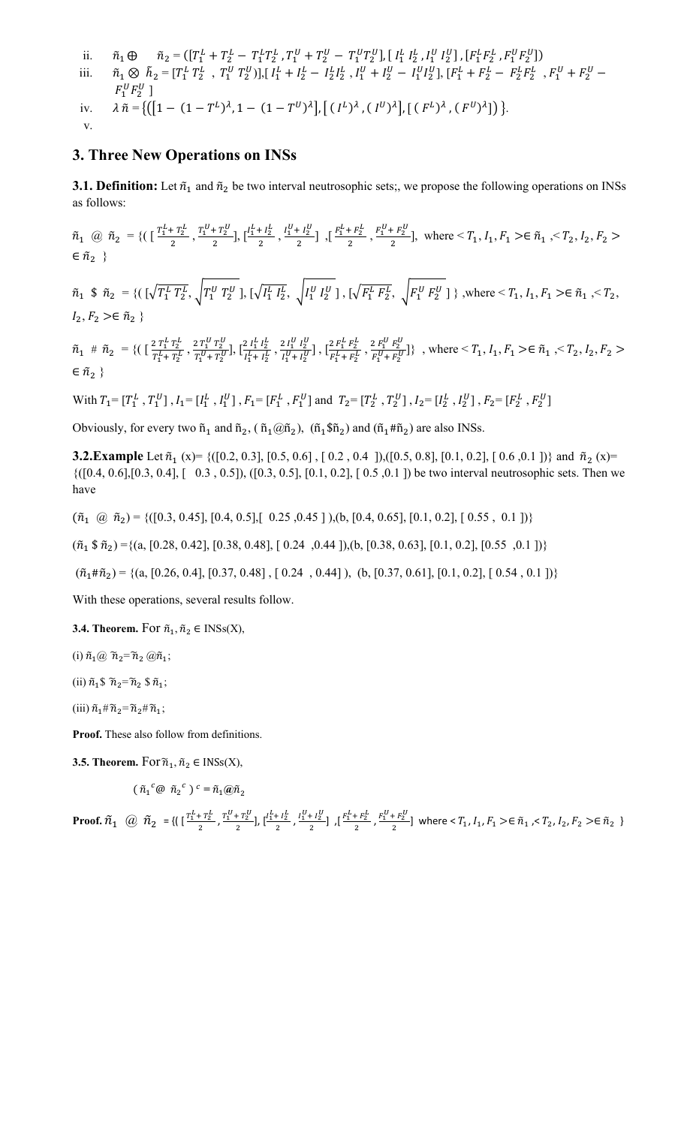ii.  $\tilde{n}_1 \oplus \tilde{n}_2 = (\left[T_1^L + T_2^L - T_1^L T_2^L, T_1^U + T_2^U - T_1^U T_2^U\right], \left[\right. \left.I_1^L \left.I_2^L \right], I_1^U \left.I_2^U\right], \left[\right.F_1^L F_2^L \right], F_1^U F_2^U\right])$ iii.  $\tilde{n}_1 \otimes \tilde{h}_2 = [T_1^L T_2^L , T_1^U T_2^U]$ ,  $[I_1^L + I_2^L - I_2^L I_2^L , I_1^U + I_2^U - I_1^U I_2^U]$ ,  $[F_1^L + F_2^L - F_2^L F_2^L , F_1^U + F_2^U - I_1^U I_2^U]$  $F_1^U F_2^U$ ] iv.  $\lambda \tilde{n} = \{ ([1 - (1 - T^L)^\lambda, 1 - (1 - T^U)^\lambda], [ (I^L)^\lambda, (I^U)^\lambda], [ (F^L)^\lambda, (F^U)^\lambda] \} \}.$ v.

### **3. Three New Operations on INSs**

**3.1. Definition:** Let  $\tilde{n}_1$  and  $\tilde{n}_2$  be two interval neutrosophic sets;, we propose the following operations on INSs as follows:

 $\tilde{n}_1 \text{ } @ \tilde{n}_2 = \{ \left( \begin{array}{cc} \frac{T_1^L + T_2^L}{2}, \frac{T_1^U + T_2^U}{2} \end{array}, \left[ \frac{I_1^L + I_2^L}{2}, \frac{I_1^U + I_2^U}{2} \right] , \left[ \frac{F_1^L + F_2^L}{2}, \frac{F_1^U + F_2^U}{2} \right], \text{ where } \leq T_1, I_1, F_1 \geq \in \tilde{n}_1, \leq T_2, I_2, F_2 \geq \frac{T_1^U + T_2^U}{2} \}$  $\in \tilde{n}_2$ 

 $\tilde{n}_1 \$ \tilde{n}_2 = \{ (\sqrt{T_1^L T_2^L}, \sqrt{T_1^U T_2^U} \], [\sqrt{I_1^L I_2^L}, \sqrt{T_1^U I_2^U} \], [\sqrt{F_1^L F_2^L}, \sqrt{F_1^U F_2^U} \] \}$ , where  $\lt T_1, I_1, F_1 \gt \in \tilde{n}_1, \lt T_2,$  $I_2, F_2 \geq \widetilde{n}_2$ 

 $\widetilde{n}_1$  #  $\widetilde{n}_2$  = {(  $\left[\frac{2\,T_1^L\,T_2^L}{T^L + \,T^L}\right]$  $\frac{2 T_1^L T_2^L}{T_1^L + T_2^L}$ ,  $\frac{2 T_1^U T_2^U}{T_1^U + T_2^U}$  $\frac{2 T_1^U T_2^U}{T_1^U + T_2^U}, \left[\frac{2 I_1^L I_2^L}{I_1^L + I_2^L}\right]$  $\frac{2 l_1^L l_2^L}{l_1^L + l_2^L}$ ,  $\frac{2 l_1^U l_2^U}{l_1^U + l_2^U}$  $\left[\frac{2 I_1^U I_2^U}{I_1^U + I_2^U}\right], \left[\frac{2 F_1^L F_2^L}{F_1^L + F_2^L}\right]$  $\frac{2 F_1^L F_2^L}{F_1^L + F_2^L}$ ,  $\frac{2 F_1^U F_2^U}{F_1^U + F_2^U}$  $\{\frac{f_2 P_1}{F_1^U + F_2^U} \}$ , where  $\langle T_1, I_1, F_1 \rangle \in \tilde{n}_1, \langle T_2, I_2, F_2 \rangle$  $\in \tilde{n}_2$ 

With  $T_1 = [T_1^L, T_1^U], I_1 = [I_1^L, I_1^U], F_1 = [F_1^L, F_1^U]$  and  $T_2 = [T_2^L, T_2^U], I_2 = [I_2^L, I_2^U], F_2 = [F_2^L, F_2^U]$ 

Obviously, for every two  $\tilde{n}_1$  and  $\tilde{n}_2$ , ( $\tilde{n}_1(\tilde{a}_1\tilde{n}_2)$ , ( $\tilde{n}_1\tilde{n}_1\tilde{n}_2$ ) and ( $\tilde{n}_1\tilde{n}_2$ ) are also INSs.

**3.2.Example** Let  $\tilde{n}_1$  (x)= {([0.2, 0.3], [0.5, 0.6], [0.2, 0.4 ]),([0.5, 0.8], [0.1, 0.2], [0.6, 0.1 ])} and  $\tilde{n}_2$  (x)=  $\{([0.4, 0.6], [0.3, 0.4], [0.3, 0.5], [0.3, 0.5], [0.1, 0.2], [0.5, 0.1]\}$  be two interval neutrosophic sets. Then we have

 $(\tilde{n}_1 \quad \hat{\omega} \quad \tilde{n}_2) = \{([0.3, 0.45], [0.4, 0.5], [0.25, 0.45]), (b, [0.4, 0.65], [0.1, 0.2], [0.55, 0.1]\}\}$ 

 $({\tilde{n}}_1 \$ {\tilde{n}}_2) = \{(a, [0.28, 0.42], [0.38, 0.48], [0.24, 0.44]), (b, [0.38, 0.63], [0.1, 0.2], [0.55, 0.1])\}$ 

 $(\tilde{n}_1 \# \tilde{n}_2) = \{(a, [0.26, 0.4], [0.37, 0.48], [0.24, 0.44]), (b, [0.37, 0.61], [0.1, 0.2], [0.54, 0.1])\}$ 

With these operations, several results follow.

**3.4. Theorem.** For  $\tilde{n}_1, \tilde{n}_2 \in \text{INSs}(X)$ ,

(i)  $\tilde{n}_1(\tilde{a}) \tilde{n}_2 = \tilde{n}_2(\tilde{a}) \tilde{n}_1;$ 

(ii)  $\tilde{n}_1$  $\tilde{n}_2$  $\tilde{n}_2$  $\tilde{n}_3$ ;

(iii)  $\tilde{n}_1 \# \tilde{n}_2 = \tilde{n}_2 \# \tilde{n}_1$ ;

**Proof.** These also follow from definitions.

**3.5. Theorem.** For  $\widetilde{n}_1$ ,  $\widetilde{n}_2 \in \text{INSs}(X)$ ,

$$
(\tilde{n}_1^c@ \tilde{n}_2^c)^c = \tilde{n}_1@ \tilde{n}_2
$$

**Proof.**  $\tilde{n}_1$   $\quad$   $\textcircled{d}$   $\tilde{n}_2$  = {(  $[\frac{T_1^L+T_2^L}{2}, \frac{T_1^U+T_2^U}{2}]$ ,  $[\frac{I_1^L+I_2^L}{2}, \frac{I_1^U+I_2^U}{2}]$ ,  $[\frac{F_1^L+F_2^L}{2}, \frac{F_1^U+F_2^U}{2}]$  where  $\ltT_1$ ,  $I_1$ ,  $F_1 > \in \tilde{n}_1$ ,  $\ltT_2$ ,  $I_2$ ,  $F_2 > \in \tilde{n$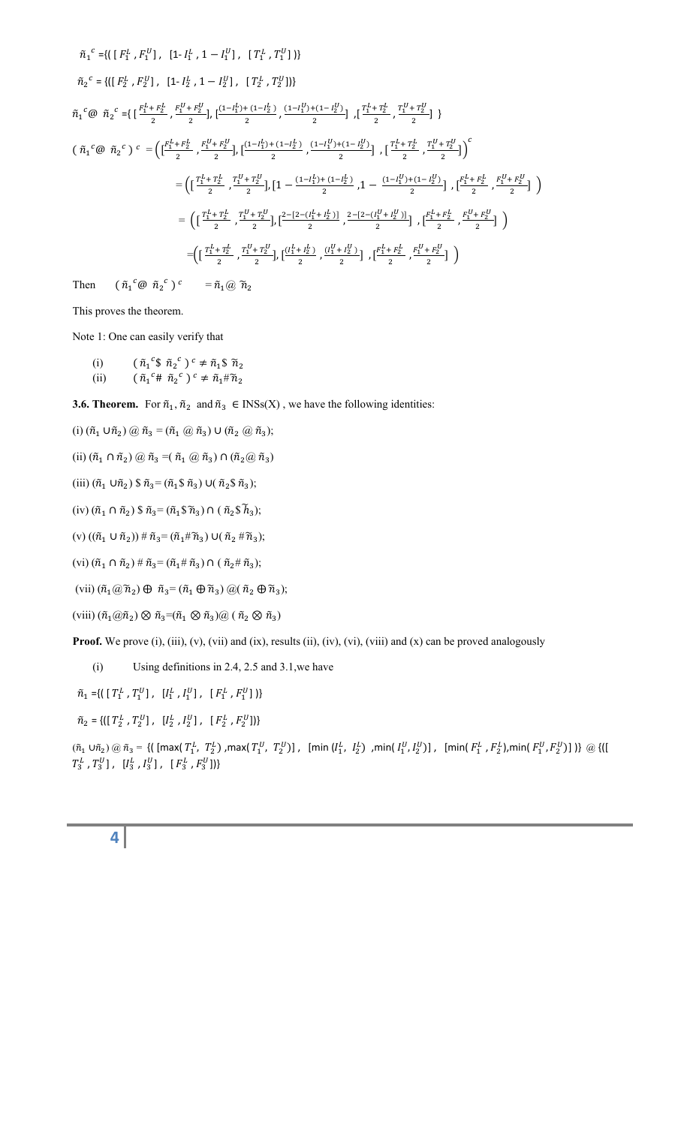$$
\tilde{n}_{1}^{c} = \{ \left( [ F_{1}^{L}, F_{1}^{U} ] , [1 - I_{1}^{L}, 1 - I_{1}^{U} ] , [ T_{1}^{L}, T_{1}^{U} ] \right) \}
$$
\n
$$
\tilde{n}_{2}^{c} = \{ \left( [ F_{2}^{L}, F_{2}^{U} ] , [1 - I_{2}^{L}, 1 - I_{2}^{U} ] , [ T_{2}^{L}, T_{2}^{U} ] \right) \}
$$
\n
$$
\tilde{n}_{1}^{c} \circled{a} \tilde{n}_{2}^{c} = \{ \left[ \frac{F_{1}^{L} + F_{2}^{L}}{2}, \frac{F_{1}^{U} + F_{2}^{U}}{2}, \left[ \frac{(1 - I_{1}^{L}) + (1 - I_{2}^{L})}{2}, \frac{(1 - I_{1}^{U}) + (1 - I_{2}^{U})}{2} \right], \left[ \frac{T_{1}^{L} + T_{2}^{L}}{2}, \frac{T_{1}^{U} + T_{2}^{U}}{2} \right] \} \right\}
$$
\n
$$
\left( \tilde{n}_{1}^{c} \circled{a} \tilde{n}_{2}^{c} \right) c = \left( \left[ \frac{F_{1}^{L} + F_{2}^{L}}{2}, \frac{F_{1}^{U} + F_{2}^{U}}{2}, \left[ \frac{(1 - I_{1}^{L}) + (1 - I_{2}^{L})}{2}, \frac{(1 - I_{1}^{U}) + (1 - I_{2}^{U})}{2} \right], \left[ \frac{T_{1}^{L} + T_{2}^{L}}{2}, \frac{T_{1}^{U} + T_{2}^{U}}{2} \right] \right)^{c} \right\}
$$
\n
$$
= \left( \left[ \frac{T_{1}^{L} + T_{2}^{L}}{2}, \frac{T_{1}^{U} + T_{2}^{U}}{2}, \left[ 1 - \frac{(1 - I_{1}^{L}) + (1 - I_{2}^{L})}{2}, 1 - \frac{(1 - I_{1}^{U}) + (1 - I_{2}^{U})}{2} \right], \left[ \frac{F_{1}^{L} + F_{2}^{L}}{2}, \frac{F_{1}^{U} + F_{2}^{U}}{2} \right] \right) \right\}
$$
\n
$$
= \left( \left[ \frac{T_{1}^{L} + T_{2
$$

Then  ${}^c\mathcal{Q}$   $\tilde{n}_2{}^c$  $\tilde{n}_1(\omega \tilde{n}_2)$ 

This proves the theorem.

Note 1: One can easily verify that

(i)  $(\tilde{n}_1^c \, \$ \, \tilde{n}_2^c) \, ^c \neq \tilde{n}_1 \, \$ \, \tilde{n}_2$ (ii)  $(\tilde{n}_1^c \# \tilde{n}_2^c)^c \neq \tilde{n}_1 \# \tilde{n}_2$ 

**3.6. Theorem.** For  $\tilde{n}_1, \tilde{n}_2$  and  $\tilde{n}_3 \in \text{INSs}(X)$ , we have the following identities:

(i) 
$$
(\tilde{n}_1 \cup \tilde{n}_2) \omega \tilde{n}_3 = (\tilde{n}_1 \omega \tilde{n}_3) \cup (\tilde{n}_2 \omega \tilde{n}_3);
$$

(ii)  $(\tilde{n}_1 \cap \tilde{n}_2) \circledcirc \tilde{n}_3 = (\tilde{n}_1 \circledcirc \tilde{n}_3) \cap (\tilde{n}_2 \circledcirc \tilde{n}_3)$ 

(iii) 
$$
(\tilde{n}_1 \cup \tilde{n}_2) \$ \tilde{n}_3 = (\tilde{n}_1 \$ \tilde{n}_3) \cup (\tilde{n}_2 \$ \tilde{n}_3);
$$

(iv)  $(\tilde{n}_1 \cap \tilde{n}_2)$  \$  $\tilde{n}_3 = (\tilde{n}_1 \hat{s} \tilde{n}_3) \cap (\tilde{n}_2 \hat{s} \tilde{h}_3);$ 

(v)  $((\tilde{n}_1 \cup \tilde{n}_2)) \# \tilde{n}_3 = (\tilde{n}_1 \# \tilde{n}_3) \cup (\tilde{n}_2 \# \tilde{n}_3);$ 

(vi)  $(\tilde{n}_1 \cap \tilde{n}_2) \# \tilde{n}_3 = (\tilde{n}_1 \# \tilde{n}_3) \cap (\tilde{n}_2 \# \tilde{n}_3);$ 

(vii)  $(\tilde{n}_1 \omega \tilde{n}_2) \oplus \tilde{n}_3 = (\tilde{n}_1 \oplus \tilde{n}_3) \omega (\tilde{n}_2 \oplus \tilde{n}_3);$ 

(viii)  $(\tilde{n}_1 \otimes \tilde{n}_2) \otimes \tilde{n}_3 = (\tilde{n}_1 \otimes \tilde{n}_3) \otimes (\tilde{n}_2 \otimes \tilde{n}_3)$ 

**Proof.** We prove (i), (iii), (v), (vii) and (ix), results (ii), (iv), (vi), (viii) and (x) can be proved analogously

(i) Using definitions in 2.4, 2.5 and 3.1,we have

 $\tilde{n}_1 = \{ \left( \begin{bmatrix} T_1^L, T_1^U \end{bmatrix}, \begin{bmatrix} I_1^L, I_1^U \end{bmatrix}, \begin{bmatrix} F_1^L, F_1^U \end{bmatrix} \right) \}$ 

 $\tilde{n}_2=\{ \left(\left[\; T_2^L\; ,\, T_2^U\right]\; ,\; \; \left[\; I_2^L\; ,\, I_2^U\right]\; ,\; \; \left[\; F_2^L\; ,\, F_2^U\right]\right)\}$ 

 $(\tilde{n}_1\cup\tilde{n}_2)\circledcirc \tilde{n}_3=\{$   $\mid$  [max(  $T^L_1$  ,  $T^L_2$  ) ,max(  $T^U_1$  ,  $T^U_2$  )] , [min(  $I^L_1$  ,  $I^L_2$  )] , [min(  $F^L_1$  ,  $F^L_2$  ),min(  $F^U_1$  ,  $F^U_2$  )]  $\mid$   $\rangle$   $\circledcirc$   $\{$   $\mid$   $\mid$  $T_3^L$  ,  $T_3^U$ ],  $[I_3^L, I_3^U]$ ,  $[F_3^L, F_3^U]\}$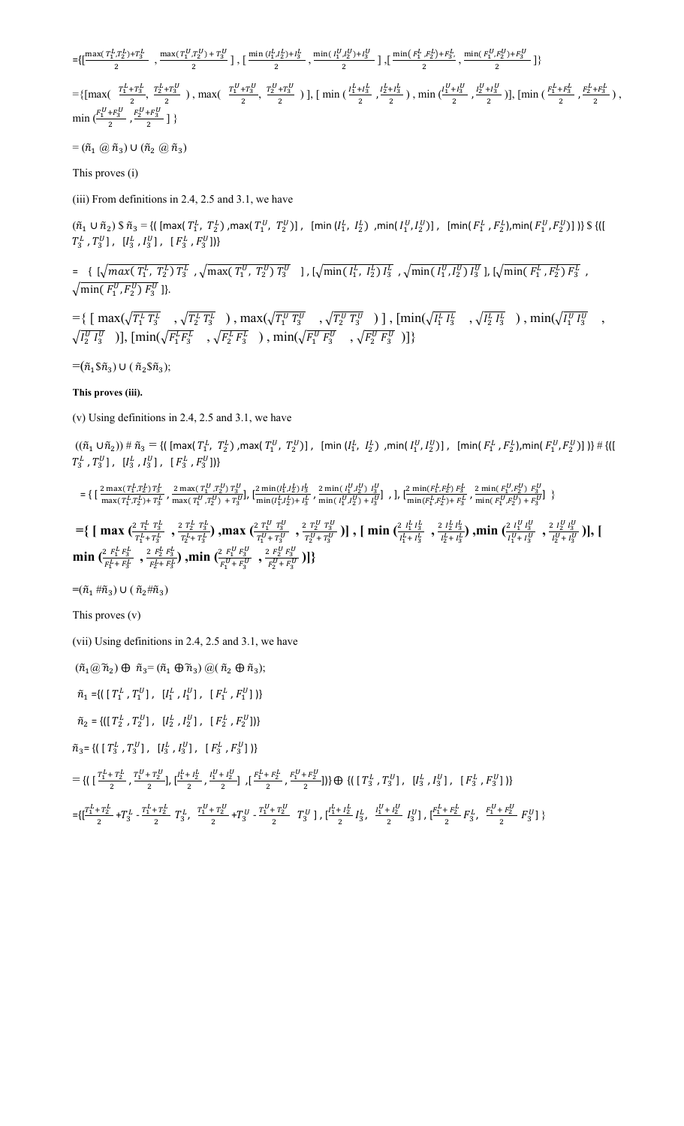$=\{[\frac{\max(\frac{T_1^L,T_2^L}{2})+T_3^L}{2} \ ,\frac{\max(\frac{T_1^U,T_2^U}{2})+T_3^U}{2} \ ],\big[\frac{\min(\frac{I_1^L,I_2^L}{2})+I_3^L}{2} \ ,\frac{\min(\frac{I_1^U,I_2^U}{2})+I_3^U}{2} \ ]\ ,\big[\frac{\min(\frac{F_1^L,F_2^L}{2})+F_3^L}{2} \ ,\frac{\min(\frac{F_1^U,F_2^U}{2})+F_3^U}{2} \ ]\}$ 

 $=\{ \left[\max(\frac{T_1^L+T_3^L}{2}, \frac{T_2^L+T_3^U}{2})\right., \max(\frac{T_1^U+T_3^U}{2}, \frac{T_2^U+T_3^U}{2})\right], \left[\min(\frac{I_1^L+I_3^L}{2}, \frac{I_2^L+I_3^L}{2})\right., \min(\frac{I_1^U+I_3^U}{2}, \frac{I_2^U+I_3^U}{2})\right], \left[\min(\frac{F_1^L+F_3^L}{2}, \frac{F_2^L+F_3^L}{2})\right],$  $\min\big(\frac{F_1^U+F_3^U}{2},\frac{F_2^U+F_3^U}{2}\big] \big\}$ 

 $=(\tilde{n}_1 \omega, \tilde{n}_3) \cup (\tilde{n}_2 \omega, \tilde{n}_3)$ 

This proves (i)

(iii) From definitions in 2.4, 2.5 and 3.1, we have

 $(\tilde{n}_1\cup\tilde{n}_2)\$   $\tilde{n}_3$  = {( [max(  $T^L_1$ ,  $T^L_2$ ) ,max(  $T^U_1$ ,  $T^U_2$ )] , [min(  $I^L_1$ ,  $I^L_2$ )] , [min(  $F^L_1$ ,  $F^L_2$ ),min(  $F^U_1$ ,  $F^U_2$ )] )}  $\$  {([  $T_3^L$  ,  $T_3^U$ ],  $[I_3^L, I_3^U]$ ,  $[F_3^L, F_3^U]\}$ 

 $= \{ [\sqrt{max(T_1^L, T_2^L) T_3^L}, \sqrt{max(T_1^U, T_2^U) T_3^U} \} , [\sqrt{min(I_1^L, I_2^L) I_3^L}, \sqrt{min(I_1^U, I_2^U) I_3^U} ], [\sqrt{min(F_1^L, F_2^L) F_3^L} ,$  $\sqrt{\min(F_1^U, F_2^U) F_3^U}$ ]}.

 $=\{ [\ \max(\sqrt{T_1^L T_3^L} \ , \sqrt{T_2^L T_3^L} \ ) , \max(\sqrt{T_1^U T_3^U} \ , \sqrt{T_2^U T_3^U} \ ) ] , [\min(\sqrt{I_1^L I_3^L} \ , \sqrt{I_2^L I_3^L} \ ) , \min(\sqrt{I_1^U I_3^U} \ , \sqrt{I_3^U I_3^U} \ ) ] \}$  $\sqrt{I_2^U \, I_3^U}$  )],  $[\min(\sqrt{F_1^L F_3^L} \quad , \sqrt{F_2^L F_3^L} \quad )$  ,  $\min(\sqrt{F_1^U F_3^U} \quad , \sqrt{F_2^U F_3^U} \quad )]\}$ 

 $=$  $(\tilde{n}_1$  $\tilde{s}\tilde{n}_3) \cup (\tilde{n}_2 \tilde{s}\tilde{n}_3);$ 

#### **This proves (iii).**

(v) Using definitions in 2.4, 2.5 and 3.1, we have

 $((\tilde{n}_1 \cup \tilde{n}_2)) \# \tilde{n}_3 = \{([max(T_1^L, T_2^L), max(T_1^U, T_2^U)]\}, [[min(I_1^L, I_2^L), min(I_1^U, I_2^U)]\}, [[min(I_1^L, F_2^L), min(I_1^U, F_2^U)]\}) \# \{([max(T_1^L, T_2^L), max(T_1^U, I_2^U)]\} \}$  $T_3^L$  ,  $T_3^U$ ],  $[I_3^L, I_3^U]$ ,  $[F_3^L, F_3^U]\}$ 

$$
=\big\{\,\big[\,\frac{2\max(\,T^{L}_{1},T^{L}_{2})\,T^{L}_{3}}{\max(\,T^{L}_{1},T^{L}_{2})+T^{L}_{3}}\,,\,\frac{2\max(\,T^{U}_{1},T^{U}_{2})\,T^{U}_{3}}{\max(\,T^{U}_{1},T^{U}_{2})\,+\,T^{U}_{3}}\big],\,\big[\frac{2\min(I^{L}_{1},I^{L}_{2})\,I^{L}_{3}}{\min(I^{L}_{1},I^{L}_{2})+I^{L}_{3}}\,,\,\frac{2\min(I^{U}_{1},I^{U}_{2})\,I^{U}_{3}}{\min(I^{U}_{1},I^{U}_{2})+I^{U}_{3}}\big]\,\,,\,\big],\,\big[\frac{2\min(F^{L}_{1},F^{L}_{2})\,F^{L}_{3}}{\min(F^{L}_{1},F^{L}_{2})+F^{L}_{3}}\,,\,\frac{2\min(F^{L}_{1},F^{L}_{2})\,F^{L}_{3}}{\min(F^{L}_{1},F^{L}_{2})+F^{L}_{3}}\,\big]\,\big\}
$$

 $=\{ \int \max \left( \frac{2 T_1^L T_3^L}{T_1^L + T_2^L} \right)$  $\frac{T_1^L T_3^L}{T_1^L + T_3^L}$ ,  $\frac{2 T_2^L T_3^L}{T_2^L + T_3^L}$  $\frac{r_1^L\;r_2^L\;r_3^L}{r_2^L+r_3^L}$ ) ,max  $(\frac{2\;r_1^U\;r_3^U}{r_1^U+r_3^U})$  $\frac{T_1^U T_3^U}{T_1^U + T_3^U}$  ,  $\frac{2 T_2^U T_3^U}{T_2^U + T_3^U}$  $\frac{(n+1)\cdot T_2^U}{(T_2^U+T_3^U)}$  )] , [  $\min\big(\frac{2^{-l_1^L}I_3^L}{l_1^L+I_3^L}\big)$  $\frac{l^2 l_1^L l_3^L}{l_1^L + l_3^L}$ ,  $\frac{2 l_2^L l_3^L}{l_2^L + l_3^L}$  $\frac{1}{2} \frac{l_2^L}{l_2^L + l_3^L}$ ), min  $\left(\frac{2}{l_1^U + l_3^U}\right)$  $\frac{1}{4} \frac{1}{4} \frac{1}{4} \frac{1}{4} \frac{1}{3}$ ,  $\frac{1}{4} \frac{1}{2} \frac{1}{4} \frac{1}{3}$  $\frac{2 I_2^{\circ} I_3^{\circ}}{I_2^{\prime\prime} + I_3^{\prime\prime}}$  )], [ **min**  $\left(\frac{2 \ F_1^L F_3^L}{r L + r L}\right)$  $\frac{f_1^L F_3^L}{F_1^L + F_3^L}$ ,  $\frac{2 F_2^L F_3^L}{F_2^L + F_3^L}$  $\frac{2\ F^L_2\ F^L_3}{F^L_2+F^L_3}$ ) ,min  $\binom{2\ F^U_1\ F^U_3}{F^U_1+F^U_3}$  $\frac{f_2 F_1^U F_3^U}{F_1^U + F_3^U}$ ,  $\frac{2 F_2^U F_3^U}{F_2^U + F_3^U}$  $\frac{2 F_2^V F_3^V}{F_2^U + F_3^U}$ )]}

 $=$  $(\tilde{n}_1 \# \tilde{n}_3) \cup (\tilde{n}_2 \# \tilde{n}_3)$ 

This proves (v)

(vii) Using definitions in 2.4, 2.5 and 3.1, we have

 $(\tilde{n}_1 \omega \tilde{n}_2) \oplus \tilde{n}_3 = (\tilde{n}_1 \oplus \tilde{n}_3) \omega (\tilde{n}_2 \oplus \tilde{n}_3);$ 

 $\tilde{n}_1 = \{ \left( \begin{bmatrix} T_1^L, T_1^U \end{bmatrix}, \begin{bmatrix} I_1^L, I_1^U \end{bmatrix}, \begin{bmatrix} F_1^L, F_1^U \end{bmatrix} \right) \}$ 

 $\tilde{n}_2=\{ \left(\left[\; T_2^L\; ,\, T_2^U\right]\; ,\; \; \left[\; I_2^L\; ,\, I_2^U\right]\; ,\; \; \left[\; F_2^L\; ,\, F_2^U\right]\right)\}$ 

 $\tilde{n}_3 = \{ \left( \begin{array}{ccc} T_3^L, T_3^U \end{array} \right], \begin{array}{cc} [I_3^L, I_3^U] \end{array}, \begin{array}{cc} [F_3^L, F_3^U] \end{array} \}$ 

$$
=\{ \left( \begin{array}{cc} \frac{T_1^L + T_2^L}{2}, \frac{T_1^U + T_2^U}{2}, \frac{I_1^L + I_2^L}{2}, \frac{I_1^U + I_2^U}{2} \end{array}, \frac{I_1^L + I_2^L}{2} \right), \left[ \frac{F_1^L + F_2^L}{2}, \frac{F_1^U + F_2^U}{2} \right] \} \right) \oplus \{ \left( \begin{array}{cc} T_3^L, T_3^U \end{array}, \begin{array}{c} [I_3^L, I_3^U], [F_3^L, F_3^U] \end{array} \right) \}
$$

 $=\{[\frac{T_1^L+T_2^L}{2}+T_3^L -\frac{T_1^L+T_2^L}{2}\ T_3^L\,,\ \frac{T_1^U+T_2^U}{2}+T_3^U -\frac{T_1^U+T_2^U}{2}\ T_3^U\},\ [\frac{I_1^L+I_2^L}{2}\ I_3^L\,,\ \frac{I_1^U+I_2^U}{2}\ I_3^U\},\ [\frac{F_1^L+F_2^L}{2}\ F_3^L\,,\ \frac{F_1^U+F_2^U}{2}\ F_3^U\} \}$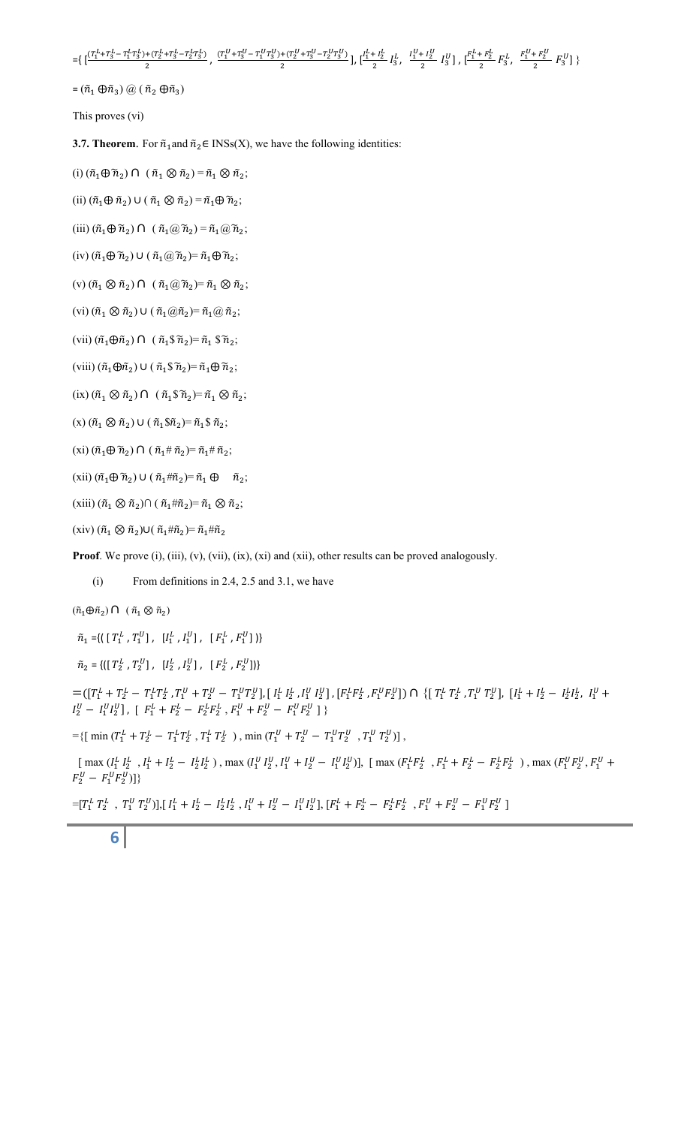$=\!\!\left\{\, [\frac{(T_1^L+T_3^L-T_1^L T_3^L)+(T_2^L+T_3^L-T_2^L T_3^L)}{2},\, \frac{(T_1^U+T_3^U-T_1^U T_3^U)+(T_2^U+T_3^U-T_2^U T_3^U)}{2}\,\right],\, [\frac{I_1^L+I_2^L}{2}\,\,I_3^L,\ \, \frac{I_1^U+I_2^U}{2}\,\, \,I_3^U\,\right\},\, [\frac{F_1^L+F_2^L}{2}\,\,F_3^L,\ \, \frac{F_1^U+F_2^U}{2}\,\,$ 

 $=(\tilde{n}_1 \oplus \tilde{n}_3) \textcircled{a} (\tilde{n}_2 \oplus \tilde{n}_3)$ 

This proves (vi)

**3.7. Theorem**. For  $\tilde{n}_1$  and  $\tilde{n}_2 \in \text{INSs}(X)$ , we have the following identities:

(i)  $(\tilde{n}_1 \oplus \tilde{n}_2) \cap (\tilde{n}_1 \otimes \tilde{n}_2) = \tilde{n}_1 \otimes \tilde{n}_2;$ 

(ii)  $(\tilde{n}_1 \oplus \tilde{n}_2) \cup (\tilde{n}_1 \otimes \tilde{n}_2) = \tilde{n}_1 \oplus \tilde{n}_2;$ 

(iii)  $(\tilde{n}_1 \oplus \tilde{n}_2) \cap (\tilde{n}_1 \otimes \tilde{n}_2) = \tilde{n}_1 \otimes \tilde{n}_2;$ 

(iv)  $(\tilde{n}_1 \oplus \tilde{n}_2) \cup (\tilde{n}_1 \widehat{a}_2) = \tilde{n}_1 \oplus \tilde{n}_2;$ 

(v)  $(\tilde{n}_1 \otimes \tilde{n}_2) \cap (\tilde{n}_1 \otimes \tilde{n}_2) = \tilde{n}_1 \otimes \tilde{n}_2;$ 

(vi)  $(\tilde{n}_1 \otimes \tilde{n}_2) \cup (\tilde{n}_1 \otimes \tilde{n}_2) = \tilde{n}_1 \otimes \tilde{n}_2;$ 

(vii)  $(\tilde{n}_1 \oplus \tilde{n}_2) \cap (\tilde{n}_1 \$\tilde{n}_2) = \tilde{n}_1 \$\tilde{n}_2;$ 

(viii)  $(\tilde{n}_1 \oplus \tilde{n}_2) \cup (\tilde{n}_1 \hat{\sigma}_2) = \tilde{n}_1 \oplus \tilde{n}_2;$ 

(ix)  $(\tilde{n}_1 \otimes \tilde{n}_2) \cap (\tilde{n}_1 \hat{\sigma}_1 \tilde{n}_2) = \tilde{n}_1 \otimes \tilde{n}_2;$ 

 $(x)$   $(\tilde{n}_1 \otimes \tilde{n}_2) \cup (\tilde{n}_1 \hat{n}_2) = \tilde{n}_1 \hat{n}_2;$ 

(xi)  $(\tilde{n}_1 \oplus \tilde{n}_2) \cap (\tilde{n}_1 \# \tilde{n}_2) = \tilde{n}_1 \# \tilde{n}_2;$ 

 $(xii)$   $(\tilde{n}_1 \oplus \tilde{n}_2) \cup (\tilde{n}_1 \# \tilde{n}_2) = \tilde{n}_1 \oplus \tilde{n}_2;$ 

(xiii)  $(\tilde{n}_1 \otimes \tilde{n}_2) \cap (\tilde{n}_1 \sharp \tilde{n}_2) = \tilde{n}_1 \otimes \tilde{n}_2;$ 

(xiv)  $(\tilde{n}_1 \otimes \tilde{n}_2) \cup (\tilde{n}_1 \sharp \tilde{n}_2) = \tilde{n}_1 \sharp \tilde{n}_2$ 

**Proof**. We prove (i), (iii), (v), (vii), (ix), (xi) and (xii), other results can be proved analogously.

(i) From definitions in 2.4, 2.5 and 3.1, we have

 $(\tilde{n}_1 \oplus \tilde{n}_2) \cap (\tilde{n}_1 \otimes \tilde{n}_2)$ 

 $\tilde{n}_1 = \{ \left( \begin{bmatrix} T_1^L, T_1^U \end{bmatrix}, \begin{bmatrix} I_1^L, I_1^U \end{bmatrix}, \begin{bmatrix} F_1^L, F_1^U \end{bmatrix} \right) \}$ 

 $\tilde{n}_2=\{ \left(\left[\; T_2^L\; ,\, T_2^U\right]\; ,\; \; \left[\; I_2^L\; ,\, I_2^U\right]\; ,\; \; \left[\; F_2^L\; ,\, F_2^U\right]\right)\}$ 

 $=([T_1^L + T_2^L - T_1^L T_2^L, T_1^U + T_2^U - T_1^U T_2^U], [\, I_1^L \, I_2^L \, , I_1^U \, I_2^U], [\, F_1^L F_2^L \, , F_1^U F_2^U] ) \, \cap \, \big\{ [\, T_1^L \, T_2^L \, , T_1^U \, T_2^U], \, [\, I_1^L + I_2^L - \, I_2^L I_2^L, \, I_1^U \, + I_2^U \, I_2^U] \big\}$  $I_2^U - I_1^U I_2^U$ ], [  $F_1^L + F_2^L - F_2^L F_2^L$ ,  $F_1^U + F_2^U - F_1^U F_2^U$  ] }

 $=\{ [\ \min{(T_1^L + T_2^L - T_1^L T_2^L, T_1^L T_2^L)} \ , \min{(T_1^U + T_2^U - T_1^U T_2^U, T_1^U T_2^U)} \},$ 

 $\left[\max(I_1^L I_2^L, I_1^L + I_2^L - I_2^L I_2^L\right), \max(I_1^U I_2^U, I_1^U + I_2^U - I_1^U I_2^U)\right], \left[\max(I_1^L I_2^L, F_1^L + F_2^L - F_2^L F_2^L\right), \max(I_1^U F_2^U, F_1^U + I_2^U I_2^U)\right]$  $F_2^U - F_1^U F_2^U$ ]}

 $=[T_1^L T_2^L , T_1^U T_2^U ]], [I_1^L + I_2^L - I_2^L I_2^L , I_1^U + I_2^U - I_1^U I_2^U ], [F_1^L + F_2^L - F_2^L F_2^L , F_1^U + F_2^U - F_1^U F_2^U ]$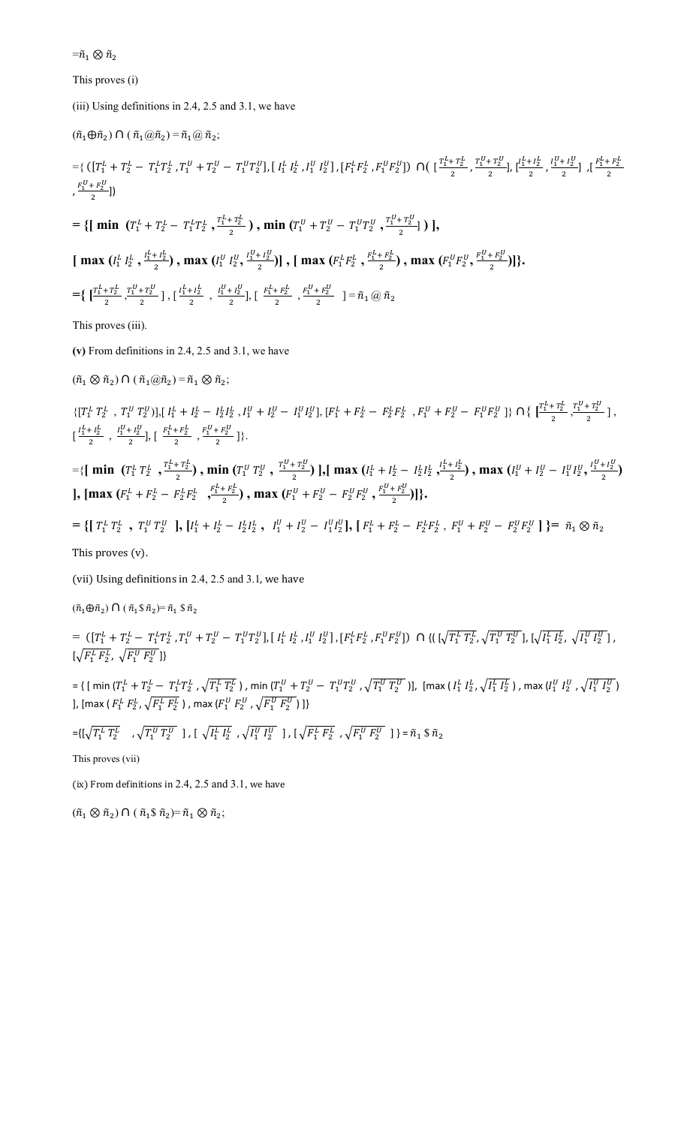$=\!\!\tilde{n}_1\otimes \tilde{n}_2$ 

This proves (i)

(iii) Using definitions in 2.4, 2.5 and 3.1, we have

$$
(\tilde{n}_1 \oplus \tilde{n}_2) \cap (\tilde{n}_1 \otimes \tilde{n}_2) = \tilde{n}_1 \otimes \tilde{n}_2;
$$
  
\n
$$
= \{ ([T_1^L + T_2^L - T_1^L T_2^L, T_1^U + T_2^U - T_1^U T_2^U], [I_1^L I_2^L, I_1^U I_2^U], [F_1^L F_2^L, F_1^U F_2^U] \} \cap \{ [\frac{T_1^L + T_2^L}{2}, \frac{T_1^U + T_2^U}{2}, \frac{I_1^U + I_2^L}{2}, \frac{I_1^U + I_2^U}{2}] , [\frac{F_1^L + F_2^U}{2}] \} \}
$$
  
\n
$$
= \{ [\min (T_1^L + T_2^L - T_1^L T_2^L, \frac{T_1^L + T_2^L}{2}) , \min (T_1^U + T_2^U - T_1^U T_2^U, \frac{T_1^U + T_2^U}{2}] ) ],
$$
  
\n
$$
[\max (I_1^L I_2^L, \frac{I_1^L + I_2^L}{2}) , \max (I_1^U I_2^U, \frac{I_1^U + I_2^U}{2}) ], [\max (F_1^L F_2^L, \frac{F_1^L + F_2^L}{2}) , \max (F_1^U F_2^U, \frac{F_1^U + F_2^U}{2}) ] \}.
$$
  
\n
$$
= \{ [\frac{T_1^L + T_2^L}{2}, \frac{T_1^U + T_2^U}{2}] , [\frac{I_1^L + I_2^L}{2}, \frac{I_1^U + I_2^U}{2}] , [\frac{F_1^L + F_2^L}{2}, \frac{F_1^U + F_2^U}{2}] ] = \tilde{n}_1 \otimes \tilde{n}_2 \}
$$
  
\nThis proves (iii).

**(v)** From definitions in 2.4, 2.5 and 3.1, we have

 $(\tilde{n}_1 \otimes \tilde{n}_2) \cap (\tilde{n}_1 \otimes \tilde{n}_2) = \tilde{n}_1 \otimes \tilde{n}_2;$ 

 $\{[T_1^L\ T_2^L\ ,\ T_1^U\ T_2^U)], [~I_1^L+I_2^L\ -\ I_2^L I_2^L\ ,\\ I_1^U+I_2^U\ -\ I_1^U I_2^U], [~F_1^L+F_2^L\ -\ F_2^L F_2^L\ ,\ F_1^U+F_2^U\ -\ F_1^U F_2^U\ ]\} \ \cap \big\{\ \big[\frac{T_1^L+T_2^L}{2},\frac{T_1^U+T_2^U}{2}\ \big]\ ,$  $\big[\begin{array}{cc} \frac{I_1^L + I_2^L}{2} \end{array}\big],\ \big[\begin{array}{cc} \frac{F_1^L + F_2^L}{2} \end{array}\big],\ \big[\begin{array}{cc} \frac{F_1^U + F_2^U}{2} \end{array}\big],\frac{F_1^U + F_2^U}{2} \end{array}\big]\big\}\,.$ 

 $=\{ \left[ \min \left( T_1^L T_2^L , \frac{T_1^L + T_2^L}{2} \right), \min \left( T_1^U T_2^U , \frac{T_1^U + T_2^U}{2} \right) \right], \left[ \max \left( I_1^L + I_2^L - I_2^L I_2^L , \frac{I_1^L + I_2^L}{2} \right), \max \left( I_1^U + I_2^U - I_1^U I_2^U , \frac{I_1^U + I_2^U}{2} \right) \right] \}$ **], [max**  $(F_1^L + F_2^L - F_2^L F_2^L, \frac{F_1^L + F_2^L}{2})$ , **max**  $(F_1^U + F_2^U - F_2^U F_2^U, \frac{F_1^U + F_2^U}{2})$ ]}.

$$
= \{ [ T_1^L T_2^L , T_1^U T_2^U ], [ I_1^L + I_2^L - I_2^L I_2^L , I_1^U + I_2^U - I_1^U I_2^U ], [ F_1^L + F_2^L - F_2^L F_2^L , F_1^U + F_2^U - F_2^U F_2^U ] \} = \tilde{n}_1 \otimes \tilde{n}_2
$$

This proves  $(v)$ .

(vii) Using definitions in 2.4, 2.5 and 3.1, we have

 $(\tilde{n}_1 \oplus \tilde{n}_2) \cap (\tilde{n}_1 \$\tilde{n}_2) = \tilde{n}_1 \$\tilde{n}_2$ 

 $=\,([T_1^L+T_2^L-T_1^LT_2^L\,,T_1^U+T_2^U-T_1^UT_2^U],[I_1^L\,I_2^L\,,I_1^U\,I_2^U]\,,\, [F_1^LF_2^L\,,F_1^UF_2^U]\,\cap\,\{(\,[\sqrt{T_1^L\,T_2^L},\sqrt{T_1^U\,T_2^U}],[\sqrt{I_1^L\,I_2^L},\sqrt{I_1^U\,I_2^U}]\,,$  $[\sqrt{F_1^L\ F_2^L},\ \sqrt{F_1^U\ F_2^U}]\}$ 

 $=\{$  [ min ( $T_1^L+T_2^L-T_1^LT_2^L$  ,  $\sqrt{T_1^L\,T_2^L}$  ) , min ( $T_1^U+T_2^U-T_1^UT_2^U$  ,  $\sqrt{T_1^U\,T_2^U}$  )], [max (  $I_1^L\,I_2^L$  ,  $\sqrt{I_1^L\,I_2^L}$  ) , max ( $I_1^U\,I_2^U$  ,  $\sqrt{I_1^U\,I_2^U}$  ) ], [max (  $F_1^L$   $F_2^L$  ,  $\sqrt{F_1^L$   $F_2^L}$  ) , max ( $F_1^U$   $F_2^U$  ,  $\sqrt{F_1^U$   $F_2^U}$  ) ]}

$$
=\left\{\left[\sqrt{T_1^L\ T_2^L}\quad,\sqrt{T_1^U\ T_2^U}\ \right],\ \left[\ \sqrt{I_1^L\ I_2^L}\ \right],\sqrt{I_1^U\ I_2^U}\ \right],\ \left[\ \sqrt{F_1^L\ F_2^L}\ \right],\sqrt{F_1^U\ F_2^U}\ \right]\ \}=\tilde{n}_1\ \$\ \tilde{n}_2
$$

This proves (vii)

(ix) From definitions in 2.4, 2.5 and 3.1, we have

 $(\tilde{n}_1 \otimes \tilde{n}_2) \cap (\tilde{n}_1 \hat{\mathbb{S}} \tilde{n}_2) = \tilde{n}_1 \otimes \tilde{n}_2;$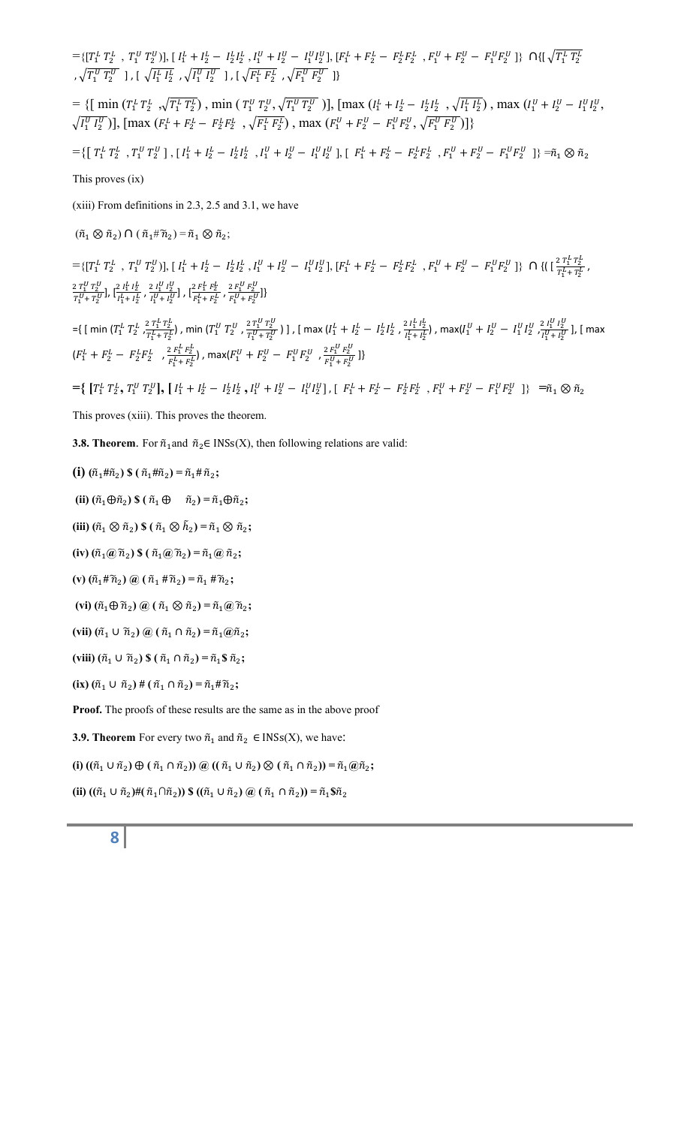$=\{[T_1^L T_2^L , T_1^U T_2^U], [I_1^L + I_2^L - I_2^L I_2^L , I_1^U + I_2^U - I_1^U I_2^U], [F_1^L + F_2^L - F_2^L F_2^L , F_1^U + F_2^U - F_1^U F_2^U]\}$   $\cap \{[\sqrt{T_1^L T_2^L}, T_1^U + T_2^U + I_2^U] \}$ ,  $\sqrt{T_1^U T_2^U}$  ], [  $\sqrt{I_1^L I_2^L}$  ,  $\sqrt{I_1^U I_2^U}$  ], [  $\sqrt{F_1^L F_2^L}$  ,  $\sqrt{F_1^U F_2^U}$  ]}  $=\{ [\min (T_1^L T_2^L , \sqrt{T_1^L T_2^L})$ ,  $\min (T_1^U T_2^U , \sqrt{T_1^U T_2^U})]$ ,  $[\max (I_1^L + I_2^L - I_2^L I_2^L , \sqrt{I_1^L I_2^L})$ ,  $\max (I_1^U + I_2^U - I_1^U I_2^U,$  $\sqrt{I_1^U I_2^U}$ )], [max ( $F_1^L + F_2^L - F_2^L F_2^L$ ,  $\sqrt{F_1^L F_2^L}$ ), max ( $F_1^U + F_2^U - F_1^U F_2^U$ ,  $\sqrt{F_1^U F_2^U}$ )]}  $=\left\{\left[\begin{array}{cc}T_{1}^{L} \ T_{2}^{L} \end{array}\right.,\left[\begin{array}{cc}I_{1}^{L}+I_{2}^{L}-I_{2}^{L}I_{2}^{L} \end{array}\right.,I_{1}^{U}+I_{2}^{U}-I_{1}^{U}I_{2}^{U}\end{array}\right],\left[\begin{array}{cc}F_{1}^{L}+F_{2}^{L}-F_{2}^{L}F_{2}^{L} \end{array}\right.,\left[F_{1}^{U}+F_{2}^{U}-F_{1}^{U}F_{2}^{U}\end{array}\right]\right\}=\widetilde{n}_{1}\otimes\widetilde{n}_{2}$ This proves (ix) (xiii) From definitions in 2.3, 2.5 and 3.1, we have  $(\tilde{n}_1 \otimes \tilde{n}_2) \cap (\tilde{n}_1 \# \tilde{n}_2) = \tilde{n}_1 \otimes \tilde{n}_2;$  $=\{[T_1^L T_2^L, T_1^U T_2^U], [I_1^L + I_2^L - I_2^L I_2^L, I_1^U + I_2^U - I_1^U I_2^U], [F_1^L + F_2^L - F_2^L F_2^L, F_1^U + F_2^U - F_1^U F_2^U]\}\cap \{([T_1^L + T_2^L, T_2^L + T_2^U, T_2^U + T_2^U, T_2^U + T_2^U, T_2^U + T_2^U, T_2^U + T_2^U, T_2^U + T_2^U, T_2^U + T_2^U,$  $\frac{c_{11}r_{2}}{T_{1}^{L}+T_{2}^{L}}$ ,  $2T_1^U$   $T_2^U$  $\frac{2 T_1^U T_2^U}{T_1^U + T_2^U}, \left[\frac{2 I_1^L I_2^L}{I_1^L + I_2^L}\right]$  $\frac{2 \, I_1^L \, I_2^L}{I_1^L + I_2^L}$ ,  $\frac{2 \, I_1^U \, I_2^U}{I_1^U + I_2^U}$  $\frac{2 \, I_1^U \, I_2^U}{I_1^U + I_2^U}$  ,  $\left[\frac{2 \, F_1^L \, F_2^L}{F_1^L + F_2^L}\right]$  $\frac{2 F_1^L F_2^L}{F_1^L + F_2^L}$ ,  $\frac{2 F_1^U F_2^U}{F_1^U + F_2^U}$  $\frac{F_1^U + F_2^U}{F_1^U + F_2^U}$ ={ [ min ( $T_1^L$   $T_2^L$  ,  $\frac{2\,T_1^L\,T_2^L}{T^L + T^L}$  $\frac{2\,T_1^L\,T_2^L}{T_1^L\!+\,T_2^L}$ ) , min ( $T_1^U$   $T_2^U$  ,  $\frac{2\,T_1^U\,T_2^U}{T_1^U\!+\,T_2^U}$  $\frac{2\,T_1^U\,T_2^U}{T_1^U+T_2^U}$  ) ] , [ max ( $I_1^L+I_2^L- \,I_2^L I_2^L$  ,  $\frac{2\,I_1^L\,I_2^L}{I_1^L+I_2^L}$  $\frac{2 \, I_1^L \, I_2^L}{I_1^L + I_2^L}$ ) , max( $I_1^U + I_2^U - I_1^U I_2^U \frac{2 \, I_1^U \, I_2^U}{I_1^U + I_2^U}$  $\frac{Z I_1 I_2}{I_1^U + I_2^U}$ ], [ max  $(F_1^L + F_2^L - F_2^L F_2^L , \frac{2 F_1^L F_2^L}{F_{1+F}^L} )$  $\frac{f_2 F_1^L F_2^L}{F_1^L + F_2^L}$ ), max $(F_1^U + F_2^U - F_1^U F_2^U$  ,  $\frac{2 F_1^U F_2^U}{F_1^U + F_2^U}$  $\frac{F_1^U + F_2^U}{F_1^U + F_2^U}$ ]}  $=\{ [T_1^L T_2^L, T_1^U T_2^U], [I_1^L + I_2^L - I_2^L I_2^L, I_1^U + I_2^U - I_1^U I_2^U], [F_1^L + F_2^L - F_2^L F_2^L, F_1^U + F_2^U - F_1^U F_2^U] \} = \tilde{n}_1 \otimes \tilde{n}_2$ This proves (xiii). This proves the theorem. **3.8. Theorem**. For  $\tilde{n}_1$  and  $\tilde{n}_2 \in \text{INSs}(X)$ , then following relations are valid:  $(i)$   $(\tilde{n}_1 \# \tilde{n}_2)$  \$  $(\tilde{n}_1 \# \tilde{n}_2) = \tilde{n}_1 \# \tilde{n}_2;$ **(ii)**  $(\tilde{n}_1 \oplus \tilde{n}_2)$  \$  $(\tilde{n}_1 \oplus \tilde{n}_2) = \tilde{n}_1 \oplus \tilde{n}_2$ ; **(iii)**  $(\tilde{n}_1 \otimes \tilde{n}_2)$  \$  $(\tilde{n}_1 \otimes \tilde{n}_2) = \tilde{n}_1 \otimes \tilde{n}_2$ ;  $(iv) (\tilde{n}_1 @ \tilde{n}_2) \$  $((\tilde{n}_1 @ \tilde{n}_2) = \tilde{n}_1 @ \tilde{n}_2;$ **(v)**  $(\tilde{n}_1 \# \tilde{n}_2)$  @  $(\tilde{n}_1 \# \tilde{n}_2) = \tilde{n}_1 \# \tilde{n}_2$ ;  $(vi)$   $(\tilde{n}_1 \oplus \tilde{n}_2)$   $\omega$   $(\tilde{n}_1 \otimes \tilde{n}_2) = \tilde{n}_1 \omega \tilde{n}_2;$  $(vii)$   $(\tilde{n}_1 \cup \tilde{n}_2)$   $(\tilde{n}_1 \cap \tilde{n}_2) = \tilde{n}_1 \tilde{m}_2;$  $(viii) (\tilde{n}_1 \cup \tilde{n}_2)$  \$  $(\tilde{n}_1 \cap \tilde{n}_2) = \tilde{n}_1$  \$  $\tilde{n}_2$ ;  $(\mathbf{i} \mathbf{x}) (\tilde{n}_1 \cup \tilde{n}_2) \# (\tilde{n}_1 \cap \tilde{n}_2) = \tilde{n}_1 \# \tilde{n}_2;$ **Proof.** The proofs of these results are the same as in the above proof **3.9. Theorem** For every two  $\tilde{n}_1$  and  $\tilde{n}_2 \in \text{INSs}(X)$ , we have:  $($ **i**)  $((\tilde{n}_1 \cup \tilde{n}_2) \oplus (\tilde{n}_1 \cap \tilde{n}_2)) \oplus ((\tilde{n}_1 \cup \tilde{n}_2) \otimes (\tilde{n}_1 \cap \tilde{n}_2)) = \tilde{n}_1 \oplus \tilde{n}_2;$  $(\hat{\mathbf{n}}_1 \cup \hat{\mathbf{n}}_2)$ # $(\hat{\mathbf{n}}_1 \cap \hat{\mathbf{n}}_2)$ ) \$  $((\hat{\mathbf{n}}_1 \cup \hat{\mathbf{n}}_2)$   $(\hat{\mathbf{n}}_1 \cap \hat{\mathbf{n}}_2)$  $) = \hat{\mathbf{n}}_1$ \$ $\hat{\mathbf{n}}_2$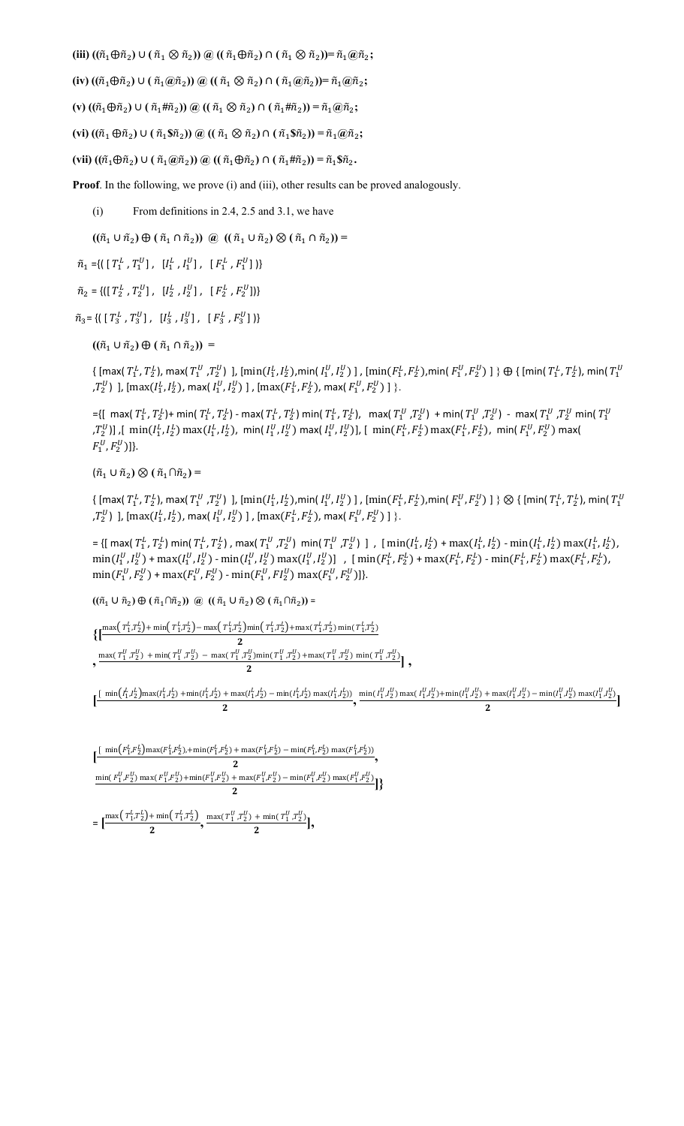$(\tilde{m}_1 \oplus \tilde{n}_2) \cup (\tilde{n}_1 \otimes \tilde{n}_2) \oplus ((\tilde{n}_1 \oplus \tilde{n}_2) \cap (\tilde{n}_1 \otimes \tilde{n}_2)) = \tilde{n}_1 \oplus \tilde{n}_2;$ 

 $\tilde{h}(iv)$   $((\tilde{n}_1 \oplus \tilde{n}_2) \cup (\tilde{n}_1 \oplus \tilde{n}_2)) \oplus ((\tilde{n}_1 \otimes \tilde{n}_2) \cap (\tilde{n}_1 \oplus \tilde{n}_2)) = \tilde{n}_1 \oplus \tilde{n}_2;$ 

 $(\mathbf{v}) ((\tilde{n}_1 \oplus \tilde{n}_2) \cup (\tilde{n}_1 \oplus \tilde{n}_2)) \otimes ((\tilde{n}_1 \otimes \tilde{n}_2) \cap (\tilde{n}_1 \oplus \tilde{n}_2)) = \tilde{n}_1 \otimes \tilde{n}_2;$ 

 $(\mathbf{v} \mathbf{i}) ((\tilde{n}_1 \oplus \tilde{n}_2) \cup (\tilde{n}_1 \mathbb{S} \tilde{n}_2)) \otimes ((\tilde{n}_1 \otimes \tilde{n}_2) \cap (\tilde{n}_1 \mathbb{S} \tilde{n}_2)) = \tilde{n}_1 \otimes \tilde{n}_2;$ 

 $(\tilde{m}_1 \oplus \tilde{n}_2) \cup (\tilde{n}_1 \oplus \tilde{n}_2) \oplus ((\tilde{n}_1 \oplus \tilde{n}_2) \cap (\tilde{n}_1 \# \tilde{n}_2)) = \tilde{n}_1 \$ 

**Proof**. In the following, we prove (i) and (iii), other results can be proved analogously.

 $(i)$  From definitions in 2.4, 2.5 and 3.1, we have

 $((\tilde{n}_1 \cup \tilde{n}_2) \oplus (\tilde{n}_1 \cap \tilde{n}_2)) \ @ \ ((\tilde{n}_1 \cup \tilde{n}_2) \otimes (\tilde{n}_1 \cap \tilde{n}_2)) =$ 

 $\tilde{n}_1 = \{ \left( \begin{array}{ccc} T_1^L & T_1^U \end{array} \right), \begin{array}{ccc} [I_1^L & , I_1^U \end{array} \right), \begin{array}{ccc} [F_1^L & , F_1^U \end{array} \right) \}$ 

 $\tilde{n}_2=\{ \left(\left[\; T_2^L\; ,\, T_2^U\right]\; ,\; \; \left[\; I_2^L\; ,\, I_2^U\right]\; ,\; \; \left[\; F_2^L\; ,\, F_2^U\right]\right)\}$ 

 $\tilde{n}_3 = \{ \left( \begin{array}{ccc} T_3^L, T_3^U \end{array} \right], \begin{array}{cc} [I_3^L, I_3^U] \end{array}, \begin{array}{cc} [F_3^L, F_3^U] \end{array} \}$ 

 $((\tilde{n}_1 \cup \tilde{n}_2) \oplus (\tilde{n}_1 \cap \tilde{n}_2))$  =

 $\{ \, [ \max(\,T^L_1,\,T^L_2),\, \max(\,T^U_1\,,\,T^U_2)\,\,],\, [ \min(I^L_1,\,I^L_2), \min(I^U_1,\,I^U_2)\,\,],\, [ \min(I^L_1,\,F^L_2), \min(I^U_1,\,F^U_2)\,\,],\, \min(I^U_1,\,I^U_2)\,\,],\, \min(I^U_1,\,I^U_2)\,\,],\, \min(I^U_1,\,I^U_2)\,\,],\, \min(I^U_1,\,I^U_2)\,\,],\, \min(I^U_1,\,I^U_2)\,\,],\,$  $\{ ,T_{2}^{U} \}$  ],  $[\max(I_{1}^{L}, I_{2}^{L})$ , max $(I_{1}^{U}, I_{2}^{U})$  ] ,  $[\max(F_{1}^{L}, F_{2}^{L})$ , max $(F_{1}^{U}, F_{2}^{U})$  ]  $\}$ .

={[ max(  $T_1^L$ ,  $T_2^L$ )+ min(  $T_1^L$ ,  $T_2^L$ ) - max(  $T_1^L$ ,  $T_2^L$ ),  $\;$  max(  $T_1^U$  , $T_2^U$ ) + min(  $T_1^U$  , $T_1^U$  , $T_2^U$  min(  $T_1^U$ , $T_2^U$ ]] ,[  $\min(I_1^L,I_2^L)\max(I_1^L,I_2^L)$ ,  $\min(I_1^U,I_2^U)\max(I_1^U,I_2^U)]$ , [  $\min(F_1^L,F_2^L)\max(F_1^L,F_2^L)$ ,  $\min(F_1^U,F_2^U)\max(F_1^U,I_2^U)$  $F_1^U, F_2^U$ ]}.

 $(\tilde{n}_1 \cup \tilde{n}_2) \otimes (\tilde{n}_1 \cap \tilde{n}_2) =$ 

 $\{ \, [ \max(\,T^L_1,\,T^L_2),\, \max(\,T^U_1\,,\,T^U_2)\, \,],\, [ \min(\,I^L_1,\,I^L_2), \min(\,I^U_1,\,I^U_2)\, \,],\, [ \min(\,F^L_1,\,F^L_2), \min(\,F^U_1,\,F^U_2)\, \,]\, \} \otimes \{ \, [ \min(\,T^L_1,\,T^L_2),\, \min(\,T^U_1,\,T^U_2)\, \,],\, \min(\,T^L_1,\,T^L_2)\, \,],\, \min(\,T^L_1,\,T^L_$  $\{ ,T_{2}^{U} \}$  ],  $[\max(I_{1}^{L}, I_{2}^{L})$ , max $(I_{1}^{U}, I_{2}^{U})$  ] ,  $[\max(F_{1}^{L}, F_{2}^{L})$ , max $(F_{1}^{U}, F_{2}^{U})$  ]  $\}$ .

 $=\{ [ \max (T_1^L, T_2^L) \min (T_1^L, T_2^L)$ , max $(T_1^U, T_2^U) \min (T_1^U, T_2^U) \}$ ,  $[ \min (I_1^L, I_2^L) + \max (I_1^L, I_2^L) - \min (I_1^L, I_2^L) \max (I_1^L, I_2^L)$ ,  $\min(I_1^U, I_2^U) + \max(I_1^U, I_2^U) - \min(I_1^U, I_2^U) \max(I_1^U, I_2^U) \]$  ,  $[\min(F_1^L, F_2^L) + \max(F_1^L, F_2^L) - \min(F_1^L, F_2^L) \max(F_1^L, F_2^L)$  $\min(F_1^U, F_2^U)$  +  $\max(F_1^U, F_2^U)$  -  $\min(F_1^U, F_2^U)$   $\max(F_1^U, F_2^U)$ ]}.

 $((\tilde{n}_1 \cup \tilde{n}_2) \oplus (\tilde{n}_1 \cap \tilde{n}_2))$  @  $((\tilde{n}_1 \cup \tilde{n}_2) \otimes (\tilde{n}_1 \cap \tilde{n}_2))$  =

 $\{\left[\frac{\max\left(T_1^L, T_2^L\right) + \min\left(T_1^L, T_2^L\right) - \max\left(T_1^L, T_2^L\right) \min\left(T_1^L, T_2^L\right) + \max\left(T_1^L, T_2^L\right) \min\left(T_1^L, T_2^L\right) - \max\left(T_1^L, T_2^L\right) \min\left(T_1^L, T_2^L\right) \min\left(T_1^L, T_2^L\right) \min\left(T_1^L, T_2^L\right) \max\left(T_1^L, T_2^L\right) \min\left(T_1^L, T_2$ 2

 $\frac{\max(T_1^U, T_2^U) + \min(T_1^U, T_2^U) - \max(T_1^U, T_2^U)\min(T_1^U, T_2^U) + \max(T_1^U, T_2^U) \min(T_1^U, T_2^U)}{2}$ ,

 $\left[\frac{\text{min}(I_1^L, I_2^L)\text{max}(I_1^L, I_2^L) + \text{min}(I_1^L, I_2^L) + \text{max}(I_1^L, I_2^L) - \text{min}(I_1^L, I_2^L)\text{max}(I_1^L, I_2^L)}{2}, \frac{\text{min}(I_1^U, I_2^U)\text{max}(I_1^U, I_2^U) + \text{min}(I_1^U, I_2^U) + \text{max}(I_1^U, I_2^U) - \text{min}(I_1^U, I_2^U)\text{max}(I_1^U, I_2^U)}{2}\right]$ 

$$
\begin{aligned}&\Big[\frac{\text{min}\big(F_1^L, F_2^L\big)\text{max}(F_1^L, F_2^L), +\text{min}\big(F_1^L, F_2^L\big) +\text{max}\big(F_1^L, F_2^L\big)-\text{min}\big(F_1^L, F_2^L\big)\text{max}\big(F_1^L, F_2^L\big)\big)}{2},\\&\frac{\text{min}\big(F_1^U, F_2^U\big)\text{max}\big(F_1^U, F_2^U\big)+\text{min}\big(F_1^U, F_2^U\big)+\text{max}\big(F_1^U, F_2^U\big)-\text{min}\big(F_1^U, F_2^U\big)\text{max}\big(F_1^U, F_2^U\big)\big)}{2}\Big]\Big\}\\&=\Big[\frac{\text{max}\Big(\,T_1^L, T_2^L\Big)+\text{min}\Big(\,T_1^L, T_2^L\Big)}{2},\frac{\text{max}\big(\,T_1^U, T_2^U\big)}{2},+\text{min}\big(\,T_1^U, T_2^U\big)\text{min}\big(T_1^U, T_2^U\big)\Big]\Big],\end{aligned}
$$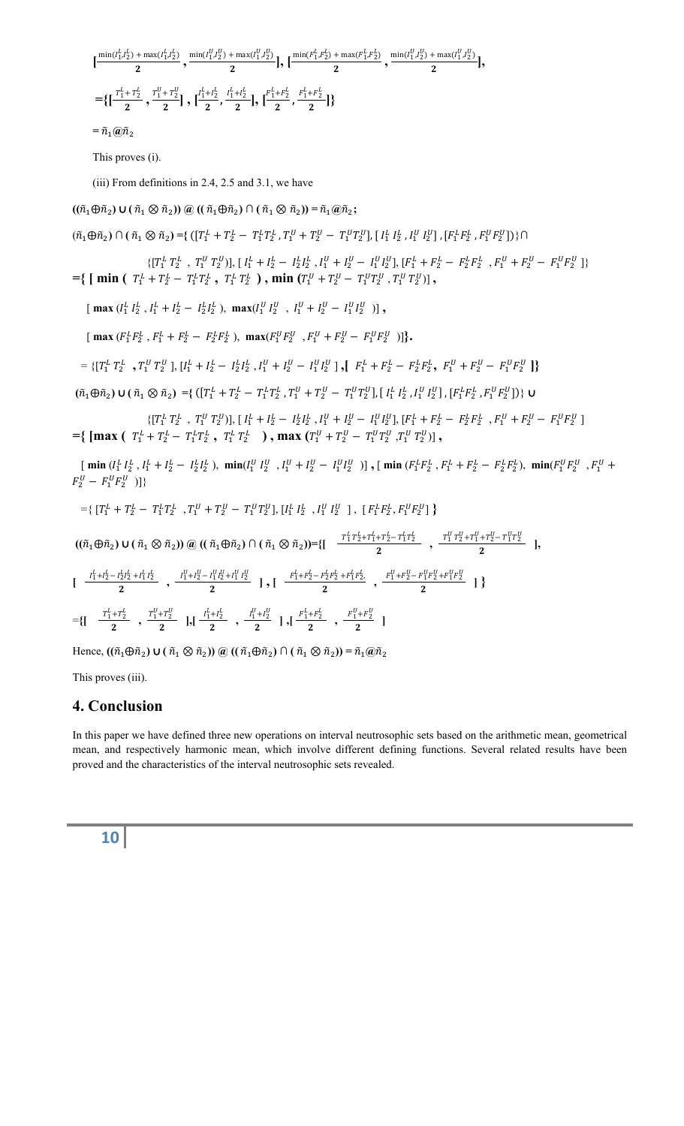$\left[\frac{\min(I_1^L, I_2^L) + \max(I_1^L, I_2^L)}{2}, \frac{\min(I_1^U, I_2^U) + \max(I_1^U, I_2^U)}{2}\right], \left[\frac{\min(F_1^L, F_2^L) + \max(F_1^L, F_2^L)}{2}, \frac{\min(I_1^U, I_2^U) + \max(I_1^U, I_2^U)}{2}\right],$  $=$   $\{[\frac{\tau_1^L + \tau_2^L}{2}, \frac{\tau_1^U + \tau_2^U}{2}], \frac{\tau_1^L}{2} \}$  $\frac{1}{2}$ <sup>L+1</sup><sup>1</sup>/<sub>2</sub><sup>L</sup>+1<sup>1</sup>/<sub>2</sub><sup>L</sup><sub>1</sub></sub>  $\left[\frac{F_1^L}{2}\right]$  $\frac{ \frac{L}{1} + F_2^L}{2}, \frac{F_1^L + F_2^L}{2} \}$  $=\tilde{n}_1(\hat{a})\tilde{n}_2$ This proves (i). (iii) From definitions in 2.4, 2.5 and 3.1, we have  $((\tilde{n}_1 \oplus \tilde{n}_2) \cup (\tilde{n}_1 \otimes \tilde{n}_2)) \otimes ((\tilde{n}_1 \oplus \tilde{n}_2) \cap (\tilde{n}_1 \otimes \tilde{n}_2)) = \tilde{n}_1 \otimes \tilde{n}_2;$  $(\tilde{n}_1 \oplus \tilde{n}_2) \cap (\tilde{n}_1 \otimes \tilde{n}_2) = \{ ([T_1^L + T_2^L - T_1^L T_2^L, T_1^U + T_2^U - T_1^U T_2^U], [I_1^L I_2^L, I_1^U I_2^U], [F_1^L F_2^L, F_1^U F_2^U] \} \cap$  $\{[T_1^L\ T_2^L\ ,\ T_1^U\ T_2^U)], [\ I_1^L+I_2^L-I_2^L I_2^L\ , I_1^U+I_2^U-I_1^U I_2^U],\ [F_1^L+F_2^L-F_2^L F_2^L\ ,\ F_1^U+F_2^U-F_1^U F_2^U]\}$  $=$ {  $\left[ \min \left( T_1^L + T_2^L - T_1^L T_2^L , T_1^L T_2^L \right) , \min \left( T_1^U + T_2^U - T_1^U T_2^U , T_1^U T_2^U \right) \right],$  $\left[ \max \left( I_1^L I_2^L, I_1^L + I_2^L - I_2^L I_2^L \right), \max \left( I_1^U I_2^U, I_1^U + I_2^U - I_1^U I_2^U \right) \right],$  $\left[ \max \left( F_1^L F_2^L , F_1^L + F_2^L - F_2^L F_2^L \right), \max \left( F_1^U F_2^U , F_1^U + F_2^U - F_1^U F_2^U \right) \right] \right\}.$  $=\left\{\left[T_1^L\ T_2^L\right],\left[T_1^L\ T_2^U\right],\left[I_1^L+I_2^L-I_2^LI_2^L\right],I_1^U+I_2^U-I_1^UI_2^U\right],\left[F_1^L+F_2^L-F_2^LF_2^L\right],\left[F_1^U+F_2^U-F_1^UF_2^U\right]\right\}$  $(\tilde{n}_1 \oplus \tilde{n}_2) \cup (\tilde{n}_1 \otimes \tilde{n}_2) = \{ ([T_1^L + T_2^L - T_1^L T_2^L, T_1^U + T_2^U - T_1^U T_2^U], [I_1^L I_2^L, I_1^U I_2^U], [F_1^L F_2^L, F_1^U F_2^U] \} \cup$  $\{[T_1^L\ T_2^L\ ,\ T_1^U\ T_2^U)],\ [\ I_1^L+I_2^L-I_2^L I_2^L\ ,\ I_1^U+I_2^U-I_1^U I_2^U],\ [F_1^L+F_2^L-F_2^L F_2^L\ ,\ F_1^U+F_2^U-F_1^U F_2^U\ ]$  $= \{ [\max (\ T_1^L + T_2^L - T_1^L T_2^L , T_1^L T_2^L ) , \max (T_1^U + T_2^U - T_1^U T_2^U , T_1^U T_2^U ) ] \}$  $\begin{bmatrix} \min (I_1^L I_2^L, I_1^L + I_2^L - I_2^L I_2^L), \min (I_1^U I_2^U, I_1^U + I_2^U - I_1^U I_2^U) \end{bmatrix}$ ,  $\begin{bmatrix} \min (F_1^L F_2^L, F_1^L + F_2^L - F_2^L F_2^L), \min (F_1^U F_2^U, F_1^U + F_2^L F_2^U) \end{bmatrix}$  $F_2^U - F_1^U F_2^U$  )]}  $=\{ \; [T_1^L + T_2^L - T_1^L T_2^L \; \; , T_1^U + T_2^U - T_1^U T_2^U], \; [I_1^L \; I_2^L \; \; , I_1^U \; I_2^U \; \; ] \; , \; [ \; F_1^L F_2^L , F_1^U F_2^U ] \; \}$  $((\tilde{n}_1 \oplus \tilde{n}_2) \cup (\tilde{n}_1 \otimes \tilde{n}_2)) \otimes ((\tilde{n}_1 \oplus \tilde{n}_2) \cap (\tilde{n}_1 \otimes \tilde{n}_2)) = \{ \begin{bmatrix} \frac{T_1^L T_2^L + T_1^L + T_2^L - T_1^L T_2^L}{2} & , \frac{T_1^U T_2^U + T_1^U + T_2^U - T_1^U T_2^U}{2} \end{bmatrix}, \begin{bmatrix} \frac{T_1^U T_2^U + T_1^U + T_2^U - T_1^U T_2^U}{2} \end{bmatrix} \}$  $[\begin{array}{c} \frac{I_1^L + I_2^L - I_2^L I_2^L + I_1^L I_2^L}{2} \end{array}, \frac{I_1^U + I_2^U - I_1^U I_2^U + I_1^U I_2^U}{2} \end{array}] \big\}$  $=\left\{\begin{bmatrix} & \frac{T_1^L + T_2^L}{2} \\ 2 & , & \frac{T_1^U + T_2^U}{2} \end{bmatrix}, \begin{bmatrix} & \frac{I_1^L + I_2^L}{2} \\ 2 & , & \frac{I_1^U + I_2^U}{2} \end{bmatrix}, \begin{bmatrix} & \frac{I_1^L + F_2^L}{2} \\ 2 & , & \frac{I_1^U + I_2^U}{2} \end{bmatrix}\right\}$ 

 $Hence, ((\tilde{n}_1 \oplus \tilde{n}_2) \cup (\tilde{n}_1 \otimes \tilde{n}_2)) \omega ((\tilde{n}_1 \oplus \tilde{n}_2) \cap (\tilde{n}_1 \otimes \tilde{n}_2)) = \tilde{n}_1 \omega \tilde{n}_2$ 

This proves (iii).

#### **4. Conclusion**

In this paper we have defined three new operations on interval neutrosophic sets based on the arithmetic mean, geometrical mean, and respectively harmonic mean, which involve different defining functions. Several related results have been proved and the characteristics of the interval neutrosophic sets revealed.